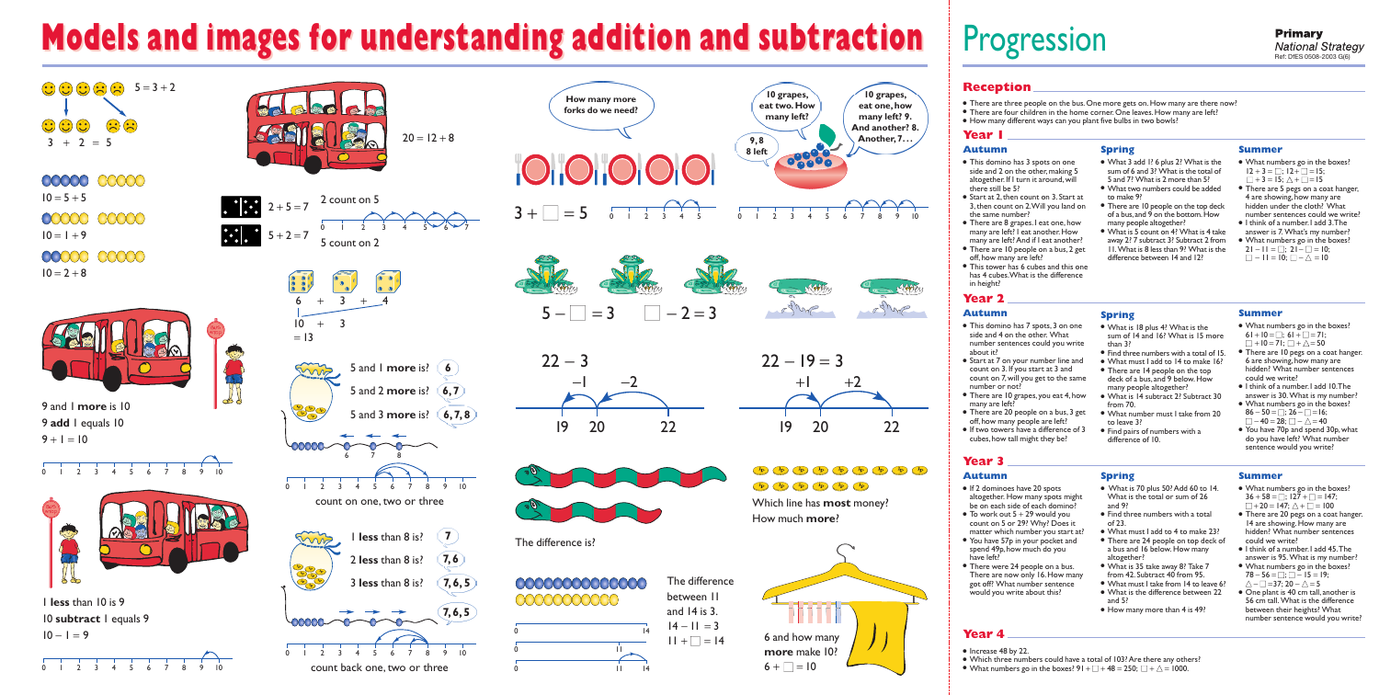# **Models and images for understanding addition and subtraction Models and images for understanding addition and subtraction**



- There are three people on the bus. One more gets on. How many are there now?
- There are four children in the home corner.One leaves.How many are left?
- How many different ways can you plant five bulbs in two bowls?

# Progression

## **Reception**

#### **Year 1**

- What numbers go in the boxes?  $12 + 3 = \Box$ ;  $12 + \Box = 15$ ;  $\Box$  + 3 = 15;  $\triangle$  +  $\Box$  = 15
- There are 5 pegs on a coat hanger, 4 are showing, how many are hidden under the cloth? What number sentences could we write?
- I think of a number. I add 3. The answer is 7. What's my number?
- What numbers go in the boxes?  $21 - 11 = \square$ ;  $21 - \square = 10$ ;
- $\Box$  11 = 10;  $\Box$   $\overline{\wedge}$  = 10

### **Year 2**

## **Year 3**

## **Year 4**

#### **Autumn**

- This domino has 7 spots,3 on one side and 4 on the other. What number sentences could you write about it?
- Start at 7 on your number line and count on 3.If you start at 3 and count on 7,will you get to the same number or not?
- There are 10 grapes, you eat 4, how many are left?
- There are 20 people on a bus, 3 get off,how many people are left?
- If two towers have a difference of 3 cubes, how tall might they be?
- This domino has 3 spots on one side and 2 on the other, making 5 altogether. If I turn it around, will there still be 5?
- Start at 2, then count on 3. Start at 3,then count on 2.Will you land on the same number?
- There are 8 grapes.I eat one,how many are left? I eat another.How many are left? And if I eat another?
- There are 10 people on a bus, 2 get off,how many are left?
- This tower has 6 cubes and this one has 4 cubes.What is the difference in height?

#### **Spring**

- There are 14 people on the top
- 
- 
- What number must I take from 20
- Find pairs of numbers with a

- What 3 add 1? 6 plus 2? What is the sum of 6 and 3? What is the total of 5 and 7? What is 2 more than 5?
- What two numbers could be added to make 9?
- There are 10 people on the top deck of a bus,and 9 on the bottom.How many people altogether?
- What is 5 count on 4? What is 4 take away 2? 7 subtract 3? Subtract 2 from 11.What is 8 less than 9? What is the difference between 14 and 12?

### **Summer**

● What is 35 take away 8? Take 7 from 42.Subtract 40 from 95. ● What must I take from 14 to leave 6? ● What is the difference between 22

#### **Autumn**

- Increase 48 by 22.
- Which three numbers could have a total of 103? Are there any others?
- What numbers go in the boxes?  $91 + \square + 48 = 250$ ;  $\square + \triangle = 1000$ .



**Spring**

● Find three numbers with a total of 15.

- What is 18 plus 4? What is the sum of 14 and 16? What is 15 more than 3?
- 
- What must I add to 14 to make 16?
- deck of a bus,and 9 below.How many people altogether?
- What is 14 subtract 2? Subtract 30 from 70.
- to leave 3?
- difference of 10.

#### **Summer**

- What numbers go in the boxes? 61 + 10 =  $\Box$ ; 61 +  $\Box$  = 71;  $\Box$  + 10 = 71;  $\Box$  +  $\triangle$  = 50
- There are 10 pegs on a coat hanger. 6 are showing, how many are hidden? What number sentences could we write?
- I think of a number. I add 10. The answer is 30. What is my number?
- What numbers go in the boxes?  $86 - 50 =$ ; 26 -  $\Box$  = 16;  $\Box - 40 = 28; \Box - \triangle = 40$
- You have 70p and spend 30p, what do you have left? What number sentence would you write?

#### **Autumn**

- If 2 dominoes have 20 spots altogether. How many spots might be on each side of each domino?
- $\bullet$  To work out  $5 + 29$  would you count on 5 or 29? Why? Does it matter which number you start at?
- You have 57p in your pocket and spend 49p, how much do you have left?
- There were 24 people on a bus. There are now only 16. How many got off? What number sentence would you write about this?

**Spring**

● What is 70 plus 50? Add 60 to 14. What is the total or sum of 26

● Find three numbers with a total

and 9?

of 23.

● What must I add to 4 to make 23? • There are 24 people on top deck of a bus and 16 below. How many

altogether?

and 5?

● How many more than 4 is 49?

#### **Summer**

- What numbers go in the boxes?  $36 + 58 = \Box$ ;  $127 + \Box = 147$ ;  $\Box$  + 20 = 147;  $\triangle$  +  $\Box$  = 100
- There are 20 pegs on a coat hanger. 14 are showing. How many are hidden? What number sentences could we write?
- I think of a number. I add 45. The answer is 95. What is my number?
- What numbers go in the boxes?  $78 - 56 = \square; \square - 15 = 19;$  $\wedge$  –  $\Box$  =37: 20 –  $\wedge$  = 5
- One plant is 40 cm tall, another is 56 cm tall. What is the difference between their heights? What number sentence would you write?